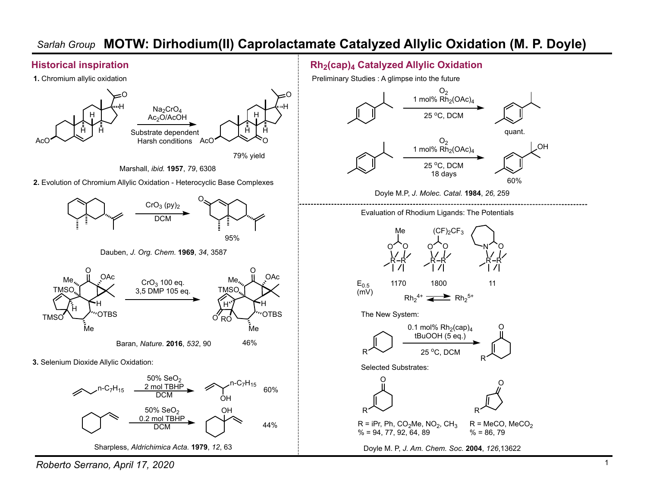# *Sarlah Group* **MOTW: Dirhodium(II) Caprolactamate Catalyzed Allylic Oxidation (M. P. Doyle)**

### **Historical inspiration**



#### *Roberto Serrano, April 17, 2020*

## **Rh2(cap)4 Catalyzed Allylic Oxidation**

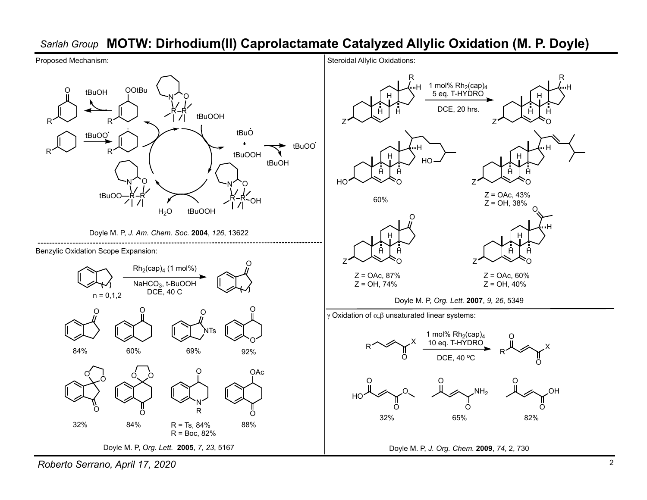## *Sarlah Group* **MOTW: Dirhodium(II) Caprolactamate Catalyzed Allylic Oxidation (M. P. Doyle)**



*Roberto Serrano, April 17, 2020*

R

H

H

O

H

H

O

O

 $\Omega$ 

OH